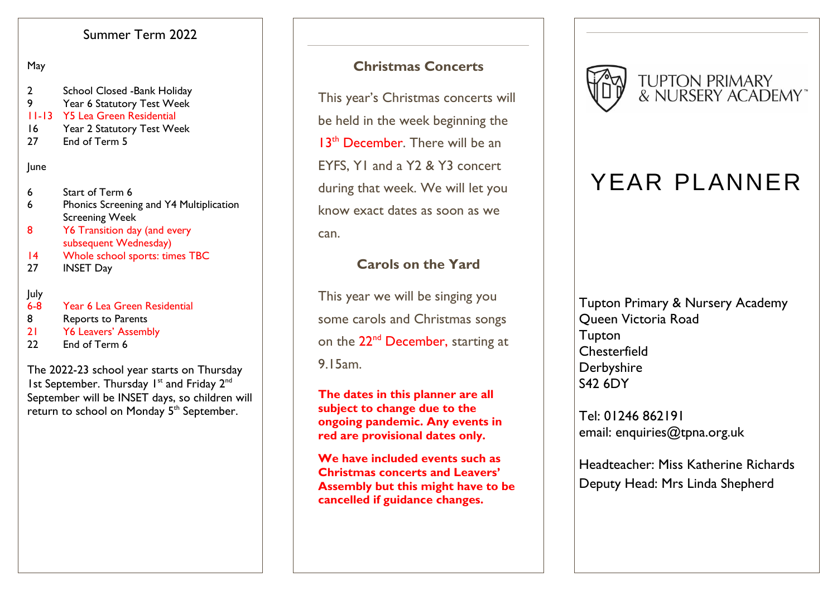# Summer Term 2022

### May

- 2 School Closed -Bank Holiday
- 9 Year 6 Statutory Test Week
- 11-13 Y5 Lea Green Residential
- 16 Year 2 Statutory Test Week
- 27 Fnd of Term 5

### June

- 6 Start of Term 6
- 6 Phonics Screening and Y4 Multiplication Screening Week
- 8 Y6 Transition day (and every subsequent Wednesday)
- 14 Whole school sports: times TBC
- 27 INSET Day

### July

- 6-8 Year 6 Lea Green Residential
- 8 Reports to Parents
- 21 Y6 Leavers' Assembly
- 22 End of Term 6

The 2022-23 school year starts on Thursday Ist September. Thursday I<sup>st</sup> and Friday 2<sup>nd</sup> September will be INSET days, so children will return to school on Monday 5<sup>th</sup> September.

# **Christmas Concerts**

This year's Christmas concerts will be held in the week beginning the 13<sup>th</sup> December. There will be an EYFS, Y1 and a Y2 & Y3 concert during that week. We will let you know exact dates as soon as we can.

# **Carols on the Yard**

This year we will be singing you some carols and Christmas songs on the 22<sup>nd</sup> December, starting at 9.15am.

**The dates in this planner are all subject to change due to the ongoing pandemic. Any events in red are provisional dates only.**

**We have included events such as Christmas concerts and Leavers' Assembly but this might have to be cancelled if guidance changes.** 



# YEAR PLANNER

Tupton Primary & Nursery Academy Queen Victoria Road **Tupton Chesterfield Derbyshire** S42 6DY

Tel: 01246 862191 email: enquiries@tpna.org.uk

Headteacher: Miss Katherine Richards Deputy Head: Mrs Linda Shepherd